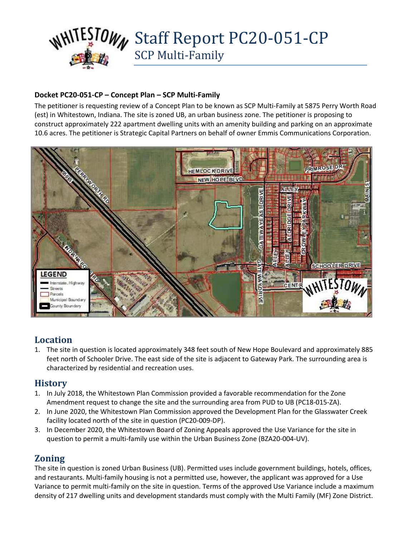

#### **Docket PC20-051-CP – Concept Plan – SCP Multi-Family**

The petitioner is requesting review of a Concept Plan to be known as SCP Multi-Family at 5875 Perry Worth Road (est) in Whitestown, Indiana. The site is zoned UB, an urban business zone. The petitioner is proposing to construct approximately 222 apartment dwelling units with an amenity building and parking on an approximate 10.6 acres. The petitioner is Strategic Capital Partners on behalf of owner Emmis Communications Corporation.



# **Location**

1. The site in question is located approximately 348 feet south of New Hope Boulevard and approximately 885 feet north of Schooler Drive. The east side of the site is adjacent to Gateway Park. The surrounding area is characterized by residential and recreation uses.

# **History**

- 1. In July 2018, the Whitestown Plan Commission provided a favorable recommendation for the Zone Amendment request to change the site and the surrounding area from PUD to UB (PC18-015-ZA).
- 2. In June 2020, the Whitestown Plan Commission approved the Development Plan for the Glasswater Creek facility located north of the site in question (PC20-009-DP).
- 3. In December 2020, the Whitestown Board of Zoning Appeals approved the Use Variance for the site in question to permit a multi-family use within the Urban Business Zone (BZA20-004-UV).

# **Zoning**

The site in question is zoned Urban Business (UB). Permitted uses include government buildings, hotels, offices, and restaurants. Multi-family housing is not a permitted use, however, the applicant was approved for a Use Variance to permit multi-family on the site in question. Terms of the approved Use Variance include a maximum density of 217 dwelling units and development standards must comply with the Multi Family (MF) Zone District.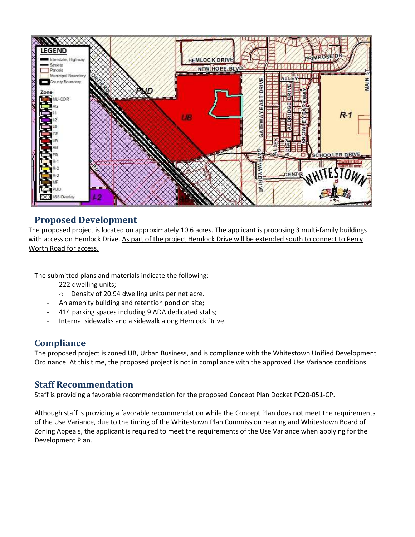

### **Proposed Development**

The proposed project is located on approximately 10.6 acres. The applicant is proposing 3 multi-family buildings with access on Hemlock Drive. As part of the project Hemlock Drive will be extended south to connect to Perry Worth Road for access.

The submitted plans and materials indicate the following:

- 222 dwelling units;
	- o Density of 20.94 dwelling units per net acre.
- An amenity building and retention pond on site;
- 414 parking spaces including 9 ADA dedicated stalls;
- Internal sidewalks and a sidewalk along Hemlock Drive.

# **Compliance**

The proposed project is zoned UB, Urban Business, and is compliance with the Whitestown Unified Development Ordinance. At this time, the proposed project is not in compliance with the approved Use Variance conditions.

### **Staff Recommendation**

Staff is providing a favorable recommendation for the proposed Concept Plan Docket PC20-051-CP.

Although staff is providing a favorable recommendation while the Concept Plan does not meet the requirements of the Use Variance, due to the timing of the Whitestown Plan Commission hearing and Whitestown Board of Zoning Appeals, the applicant is required to meet the requirements of the Use Variance when applying for the Development Plan.